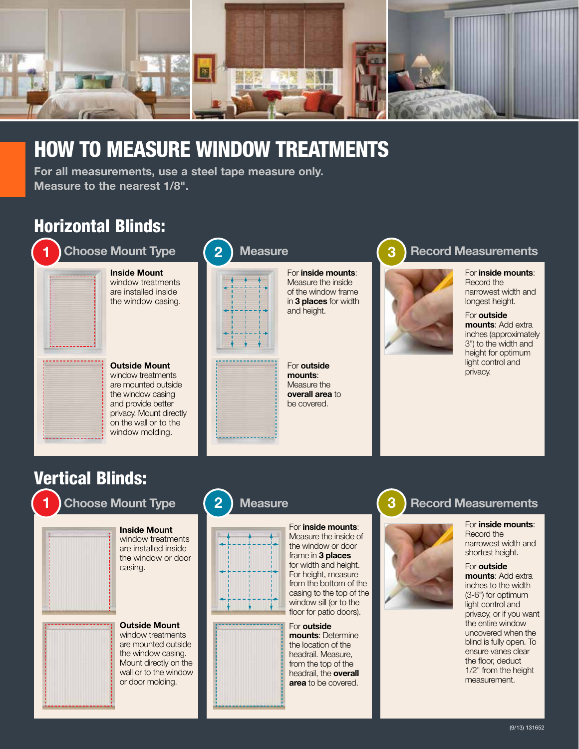

# HOW TO MEASURE WINDOW TREATMENTS

2

For all measurements, use a steel tape measure only. Measure to the nearest 1/8".

## Horizontal Blinds:



Inside Mount window treatments are installed inside



window molding.

the window casing.



### **Measure**



For inside mounts: Measure the inside of the window frame in 3 places for width and height.

For outside mounts: Measure the overall area to be covered.

#### 3 Record Measurements



For inside mounts: Record the narrowest width and longest height.

For outside mounts: Add extra inches (approximately 3") to the width and height for optimum light control and privacy.

## Vertical Blinds:

1

## Choose Mount Type



Inside Mount window treatments are installed inside the window or door casing.



Outside Mount window treatments are mounted outside the window casing. Mount directly on the wall or to the window or door molding.

#### 2 **Measure**





For inside mounts: Measure the inside of the window or door frame in 3 places for width and height. For height, measure from the bottom of the casing to the top of the window sill (or to the floor for patio doors).

For outside mounts: Determine the location of the headrail. Measure, from the top of the headrail, the overall area to be covered.

#### 3 Record Measurements



For **inside mounts:** Record the narrowest width and shortest height.

For outside mounts: Add extra inches to the width (3-6") for optimum light control and privacy, or if you want the entire window uncovered when the blind is fully open. To ensure vanes clear the floor, deduct 1/2" from the height measurement.